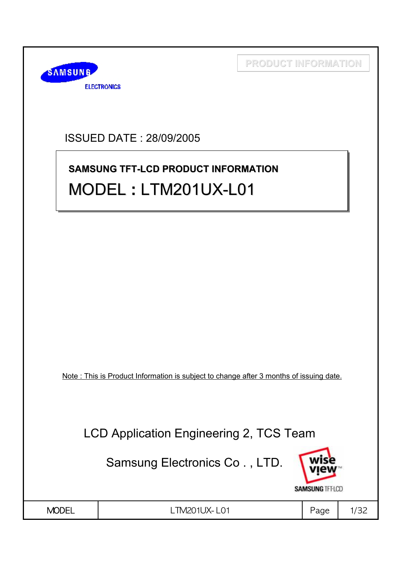

ISSUED DATE : 28/09/2005

# **SAMSUNG TFT-LCD PRODUCT INFORMATION SAMSUNG TFT-LCD PRODUCT INFORMATION** MODEL **:** LTM201UX-L01 MODEL **:** LTM201UX LTM201UX-L01

Note : This is Product Information is subject to change after 3 months of issuing date.

LCD Application Engineering 2, TCS Team

Samsung Electronics Co . , LTD.



LTM201UX-L01 | Page 1/32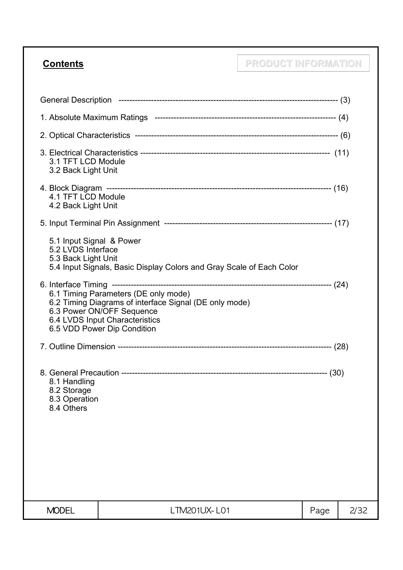# **Contents PRODUCT INFORMATION**

| 3.1 TFT LCD Module<br>3.2 Back Light Unit                             |                                                                                                                                                                                              |      |      |
|-----------------------------------------------------------------------|----------------------------------------------------------------------------------------------------------------------------------------------------------------------------------------------|------|------|
| 4.1 TFT LCD Module<br>4.2 Back Light Unit                             |                                                                                                                                                                                              |      |      |
|                                                                       |                                                                                                                                                                                              |      |      |
| 5.1 Input Signal & Power<br>5.2 LVDS Interface<br>5.3 Back Light Unit | 5.4 Input Signals, Basic Display Colors and Gray Scale of Each Color                                                                                                                         |      |      |
|                                                                       | 6.1 Timing Parameters (DE only mode)<br>6.2 Timing Diagrams of interface Signal (DE only mode)<br>6.3 Power ON/OFF Sequence<br>6.4 LVDS Input Characteristics<br>6.5 VDD Power Dip Condition |      |      |
|                                                                       |                                                                                                                                                                                              |      |      |
| 8.1 Handling<br>8.2 Storage<br>8.3 Operation<br>8.4 Others            |                                                                                                                                                                                              |      |      |
|                                                                       |                                                                                                                                                                                              |      |      |
| <b>MODEL</b>                                                          | LTM201UX-L01                                                                                                                                                                                 | Page | 2/32 |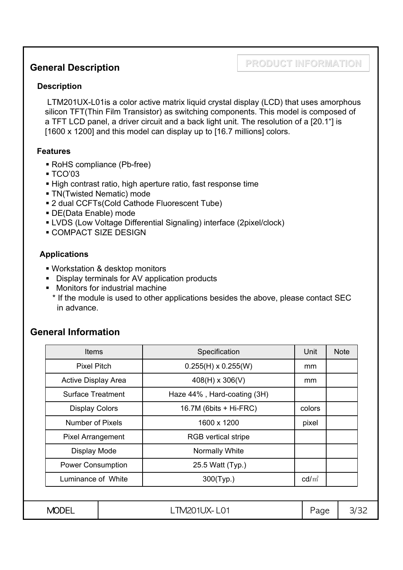#### **General Description**

#### **PRODUCT INFORMATION**

#### **Description**

LTM201UX-L01is a color active matrix liquid crystal display (LCD) that uses amorphous silicon TFT(Thin Film Transistor) as switching components. This model is composed of a TFT LCD panel, a driver circuit and a back light unit. The resolution of a [20.1"] is [1600 x 1200] and this model can display up to [16.7 millions] colors.

#### **Features**

- RoHS compliance (Pb-free)
- $\blacksquare$  TCO'03
- High contrast ratio, high aperture ratio, fast response time
- TN(Twisted Nematic) mode
- 2 dual CCFTs(Cold Cathode Fluorescent Tube)
- DE(Data Enable) mode
- LVDS (Low Voltage Differential Signaling) interface (2pixel/clock)
- **COMPACT SIZE DESIGN**

#### **Applications**

- Workstation & desktop monitors
- Display terminals for AV application products
- **Monitors for industrial machine**
- \* If the module is used to other applications besides the above, please contact SEC in advance.

#### **General Information**

| <b>Items</b>               |  | Specification               | Unit            | <b>Note</b> |  |
|----------------------------|--|-----------------------------|-----------------|-------------|--|
| <b>Pixel Pitch</b>         |  | $0.255(H) \times 0.255(W)$  | mm              |             |  |
| <b>Active Display Area</b> |  | $408(H) \times 306(V)$      | mm              |             |  |
| <b>Surface Treatment</b>   |  | Haze 44%, Hard-coating (3H) |                 |             |  |
| <b>Display Colors</b>      |  | $16.7M$ (6bits + Hi-FRC)    | colors          |             |  |
| <b>Number of Pixels</b>    |  | 1600 x 1200                 | pixel           |             |  |
| <b>Pixel Arrangement</b>   |  | <b>RGB</b> vertical stripe  |                 |             |  |
| Display Mode               |  | Normally White              |                 |             |  |
| <b>Power Consumption</b>   |  | 25.5 Watt (Typ.)            |                 |             |  |
| Luminance of White         |  | 300(Typ.)                   | $\text{cd/m}^2$ |             |  |
|                            |  |                             |                 |             |  |
| <b>MODEL</b>               |  | LTM201UX-L01                | Page            | 3/32        |  |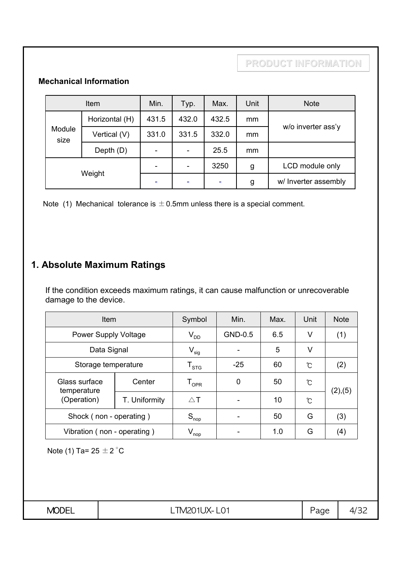#### **Mechanical Information**

| Item           |                | Min.  | Typ.                         | Max.  | Unit | <b>Note</b>          |
|----------------|----------------|-------|------------------------------|-------|------|----------------------|
| Module<br>size | Horizontal (H) | 431.5 | 432.0                        | 432.5 | mm   |                      |
|                | Vertical (V)   | 331.0 | 331.5                        | 332.0 | mm   | w/o inverter ass'y   |
|                | Depth (D)      |       | $\qquad \qquad \blacksquare$ | 25.5  | mm   |                      |
| Weight         |                |       | $\qquad \qquad \blacksquare$ | 3250  | g    | LCD module only      |
|                |                |       | ۰                            |       | g    | w/ Inverter assembly |

Note (1) Mechanical tolerance is  $\pm$  0.5mm unless there is a special comment.

# **1. Absolute Maximum Ratings**

If the condition exceeds maximum ratings, it can cause malfunction or unrecoverable damage to the device.

| Item                                        | Symbol                      | Min.                        | Max.    | Unit | <b>Note</b> |         |
|---------------------------------------------|-----------------------------|-----------------------------|---------|------|-------------|---------|
|                                             | <b>Power Supply Voltage</b> |                             | GND-0.5 | 6.5  | V           | (1)     |
| Data Signal                                 |                             | $V_{sig}$                   |         | 5    | V           |         |
| Storage temperature                         |                             | ${\mathsf T}_{\text{STG}}$  | $-25$   | 60   | Ĉ           | (2)     |
| Glass surface<br>temperature<br>(Operation) | Center                      | $\mathsf{T}_{\mathsf{OPR}}$ | 0       | 50   | Ĉ           | (2),(5) |
|                                             | T. Uniformity               | $\triangle$ T               |         | 10   | ົ           |         |
| Shock (non - operating)                     |                             | $S_{\text{nop}}$            |         | 50   | G           | (3)     |
| Vibration (non - operating)                 |                             | $V_{\mathsf{nop}}$          |         | 1.0  | G           | (4)     |

Note (1) Ta=  $25 \pm 2$  °C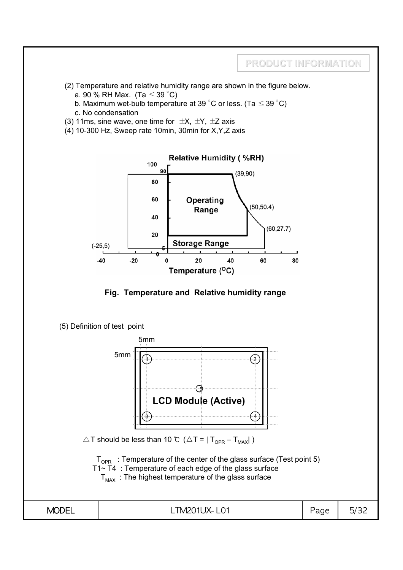

- (2) Temperature and relative humidity range are shown in the figure below.
	- a. 90 % RH Max. (Ta  $\leq$  39 °C)
	- b. Maximum wet-bulb temperature at 39 °C or less. (Ta  $\leq$  39 °C)
	- c. No condensation
- (3) 11ms, sine wave, one time for  $\pm X$ ,  $\pm Y$ ,  $\pm Z$  axis
- $(4)$  10-300 Hz, Sweep rate 10min, 30min for X, Y, Z axis





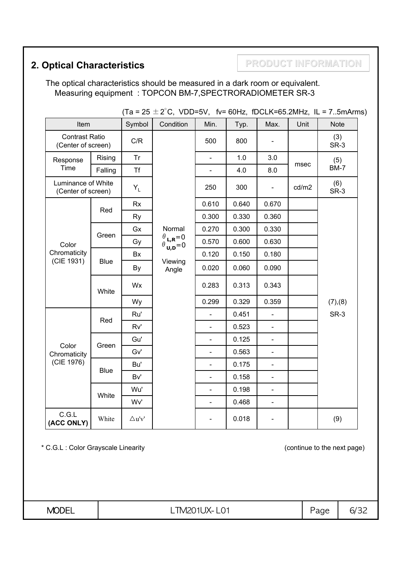# **2. Optical Characteristics <b>PRODUCT INFORMATION**

The optical characteristics should be measured in a dark room or equivalent. Measuring equipment : TOPCON BM-7,SPECTRORADIOMETER SR-3

|                                             |             |               |                                                                                                         |                |       |                |       | (18 – 20 $\pm$ 2 U, VDD-3V, IV– 60HZ, IDULN-60.ZIVIHZ, IL – 73IIIAIIIIS) |
|---------------------------------------------|-------------|---------------|---------------------------------------------------------------------------------------------------------|----------------|-------|----------------|-------|--------------------------------------------------------------------------|
| Item                                        |             | Symbol        | Condition                                                                                               | Min.           | Typ.  | Max.           | Unit  | <b>Note</b>                                                              |
| <b>Contrast Ratio</b><br>(Center of screen) |             | C/R           |                                                                                                         | 500            | 800   |                |       | (3)<br>SR-3                                                              |
| Response                                    | Rising      | Tr            |                                                                                                         |                | 1.0   | 3.0            |       | (5)                                                                      |
| Time                                        | Falling     | <b>Tf</b>     |                                                                                                         |                | 4.0   | 8.0            | msec  | <b>BM-7</b>                                                              |
| Luminance of White<br>(Center of screen)    |             | $Y_L$         |                                                                                                         | 250            | 300   |                | cd/m2 | (6)<br>SR-3                                                              |
|                                             |             | <b>Rx</b>     |                                                                                                         | 0.610          | 0.640 | 0.670          |       |                                                                          |
|                                             | Red         | Ry            |                                                                                                         | 0.300          | 0.330 | 0.360          |       |                                                                          |
|                                             |             | Gx            | Normal                                                                                                  | 0.270          | 0.300 | 0.330          |       |                                                                          |
| Color                                       | Green       | Gy            | $\begin{array}{c} \theta_{\mathsf{L},\mathsf{R}}{=}0 \\ \theta_{\mathsf{U},\mathsf{D}}{=}0 \end{array}$ | 0.570          | 0.600 | 0.630          |       |                                                                          |
| Chromaticity                                | Blue        | Bx            |                                                                                                         | 0.120          | 0.150 | 0.180          |       |                                                                          |
| (CIE 1931)                                  |             | By            | Viewing<br>Angle                                                                                        | 0.020          | 0.060 | 0.090          |       |                                                                          |
|                                             | White       | Wx            |                                                                                                         | 0.283          | 0.313 | 0.343          |       |                                                                          |
|                                             |             | Wy            |                                                                                                         | 0.299          | 0.329 | 0.359          |       | (7), (8)                                                                 |
|                                             |             | Ru'           |                                                                                                         | $\overline{a}$ | 0.451 | $\overline{a}$ |       | SR-3                                                                     |
|                                             | Red         | Rv'           |                                                                                                         |                | 0.523 | $\overline{a}$ |       |                                                                          |
|                                             |             | Gu'           |                                                                                                         | $\overline{a}$ | 0.125 | $\overline{a}$ |       |                                                                          |
| Color<br>Chromaticity                       | Green       | Gv'           |                                                                                                         | $\blacksquare$ | 0.563 | $\blacksquare$ |       |                                                                          |
| (CIE 1976)                                  | <b>Blue</b> | Bu'           |                                                                                                         | $\blacksquare$ | 0.175 | $\blacksquare$ |       |                                                                          |
|                                             |             | Bv'           |                                                                                                         | $\blacksquare$ | 0.158 | $\blacksquare$ |       |                                                                          |
|                                             |             | Wu'           |                                                                                                         | $\blacksquare$ | 0.198 | $\blacksquare$ |       |                                                                          |
|                                             | White       | Wv'           |                                                                                                         | $\blacksquare$ | 0.468 | $\blacksquare$ |       |                                                                          |
| C.G.L<br>(ACC ONLY)                         | White       | $\Delta$ u'v' |                                                                                                         |                | 0.018 |                |       | (9)                                                                      |

 $(75 + 2^{\circ}C)$  (IDD-5)( figure fDCLK-65.2MHz, IL = 7.5mArms)

\* C.G.L : Color Grayscale Linearity (continue to the next page)

**MODEL** | LTM201UX-L01 | Page | 6/32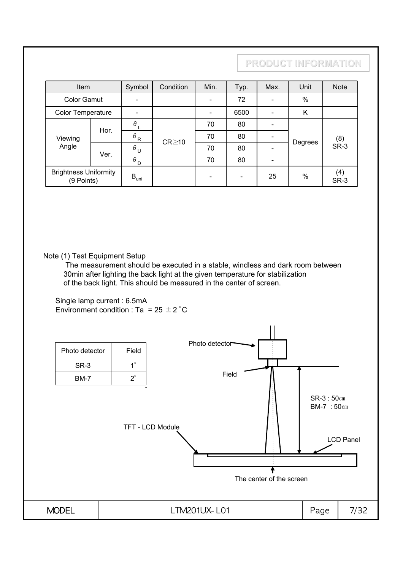| Item                                       |      | Symbol                            | Condition   | Min.                     | Typ.                     | Max. | Unit    | <b>Note</b> |
|--------------------------------------------|------|-----------------------------------|-------------|--------------------------|--------------------------|------|---------|-------------|
| <b>Color Gamut</b>                         |      |                                   |             | $\overline{\phantom{0}}$ | 72                       |      | $\%$    |             |
| Color Temperature                          |      |                                   |             |                          | 6500                     |      | K       |             |
|                                            | Hor. | $\theta_L$                        |             | 70                       | 80                       |      |         |             |
| Viewing                                    |      | $\theta_R$                        | $CR \ge 10$ | 70                       | 80                       |      |         | (8)         |
| Angle                                      | Ver. | $\theta$ U                        |             | 70                       | 80                       |      | Degrees | SR-3        |
|                                            |      | $\theta_{\texttt{D}}$<br>70<br>80 |             |                          |                          |      |         |             |
| <b>Brightness Uniformity</b><br>(9 Points) |      | $B_{uni}$                         |             | $\overline{\phantom{a}}$ | $\overline{\phantom{a}}$ | 25   | $\%$    | (4)<br>SR-3 |

Note (1) Test Equipment Setup

The measurement should be executed in a stable, windless and dark room between 30min after lighting the back light at the given temperature for stabilization of the back light. This should be measured in the center of screen.

Single lamp current : 6.5mA Environment condition : Ta =  $25 \pm 2^{\circ}$ C

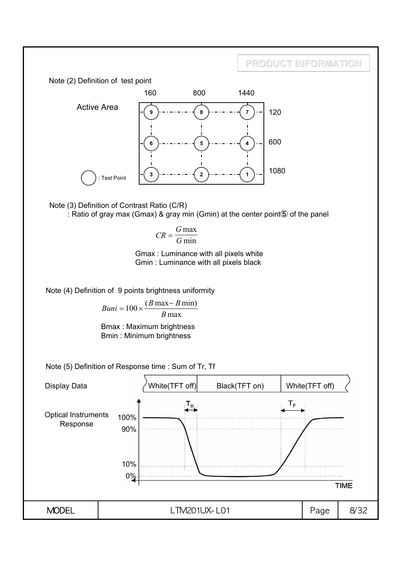

Note (3) Definition of Contrast Ratio (C/R) : Ratio of gray max (Gmax) & gray min (Gmin) at the center point⑤ of the panel

$$
CR = \frac{G \max}{G \min}
$$

Gmax : Luminance with all pixels white Gmin : Luminance with all pixels black

Note (4) Definition of 9 points brightness uniformity

$$
Buni = 100 \times \frac{(B \max - B \min)}{B \max}
$$

Bmax : Maximum brightness Bmin : Minimum brightness

Note (5) Definition of Response time : Sum of Tr, Tf

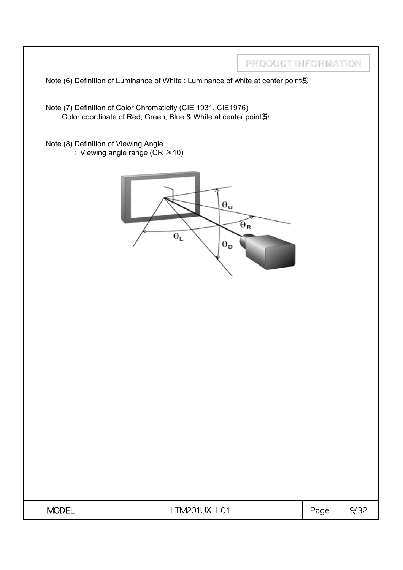|              | Note (6) Definition of Luminance of White : Luminance of white at center point (5)                             | PRODUCT INFORMATION   |      |      |
|--------------|----------------------------------------------------------------------------------------------------------------|-----------------------|------|------|
|              | Note (7) Definition of Color Chromaticity (CIE 1931, CIE1976)                                                  |                       |      |      |
|              | Color coordinate of Red, Green, Blue & White at center point 5<br>Note (8) Definition of Viewing Angle         |                       |      |      |
|              | : Viewing angle range ( $CR \ge 10$ )<br>$\Theta_{\mathbf{u}}$<br>$\Theta_{\text{L}}$<br>$\Theta_{\textbf{D}}$ | $\Theta_{\mathbf{R}}$ |      |      |
| <b>MODEL</b> | LTM201UX-L01                                                                                                   |                       | Page | 9/32 |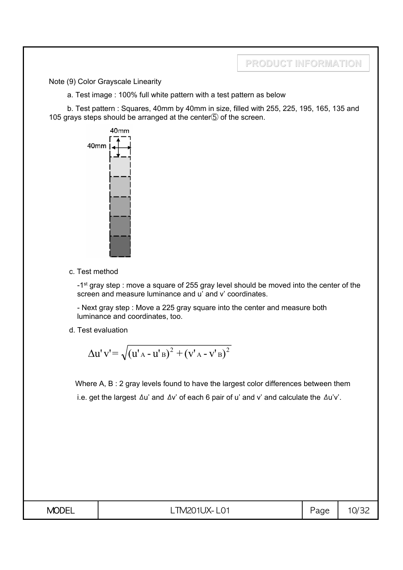Note (9) Color Grayscale Linearity

a. Test image : 100% full white pattern with a test pattern as below

b. Test pattern : Squares, 40mm by 40mm in size, filled with 255, 225, 195, 165, 135 and 105 grays steps should be arranged at the center⑤ of the screen.



c. Test method

-1<sup>st</sup> gray step : move a square of 255 gray level should be moved into the center of the screen and measure luminance and u' and v' coordinates.

- Next gray step : Move a 225 gray square into the center and measure both luminance and coordinates, too.

d. Test evaluation

$$
\Delta u' v' = \sqrt{(u'_{A} - u'_{B})^{2} + (v'_{A} - v'_{B})^{2}}
$$

Where A, B : 2 gray levels found to have the largest color differences between them i.e. get the largest Δu' and Δv' of each 6 pair of u' and v' and calculate the Δu'v'.

| <b>MODEL</b> | ᠇<br>L IM201<br>.<br>1ㅅㅡ<br>∟∪⊥<br>$\sim$ | $\sqrt{2}$<br>Page | $O/\tilde{=}$<br>ັ |
|--------------|-------------------------------------------|--------------------|--------------------|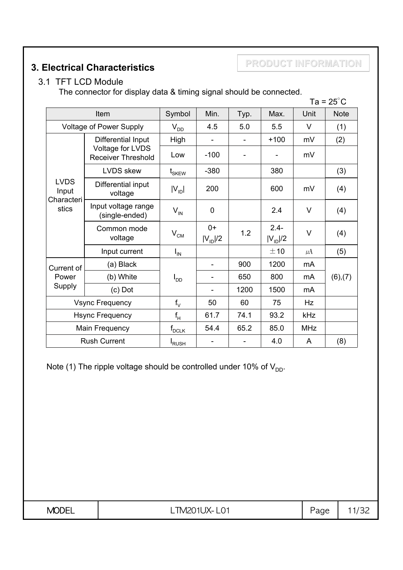### **3. Electrical Characteristics**

**PRODUCT INFORMATION**

#### 3.1 TFT LCD Module

The connector for display data & timing signal should be connected.

|                                             |                                               |                           |                      |      |                         |            | $Ta = 25^{\circ}C$ |
|---------------------------------------------|-----------------------------------------------|---------------------------|----------------------|------|-------------------------|------------|--------------------|
| Item                                        |                                               | Symbol                    | Min.                 | Typ. | Max.                    | Unit       | <b>Note</b>        |
|                                             | <b>Voltage of Power Supply</b>                | $V_{DD}$                  | 4.5                  | 5.0  | 5.5                     | V          | (1)                |
|                                             | Differential Input                            | High                      |                      |      | $+100$                  | mV         | (2)                |
|                                             | Voltage for LVDS<br><b>Receiver Threshold</b> | Low                       | $-100$               |      |                         | mV         |                    |
|                                             | <b>LVDS</b> skew                              | $\mathfrak{t}_{\rm SKEW}$ | $-380$               |      | 380                     |            | (3)                |
| <b>LVDS</b><br>Input<br>Characteri<br>stics | Differential input<br>voltage                 | $ V_{\text{ID}} $         | 200                  |      | 600                     | mV         | (4)                |
|                                             | Input voltage range<br>(single-ended)         | $V_{IN}$                  | $\mathbf 0$          |      | 2.4                     | V          | (4)                |
|                                             | Common mode<br>voltage                        | $V_{CM}$                  | $0+$<br>$ V_{ID} /2$ | 1.2  | $2.4 -$<br>$ V_{ID} /2$ | V          | (4)                |
|                                             | Input current                                 | $I_{IN}$                  |                      |      | ±10                     | $\mu$ A    | (5)                |
| Current of                                  | (a) Black                                     |                           |                      | 900  | 1200                    | mA         |                    |
| Power                                       | (b) White                                     | $I_{DD}$                  |                      | 650  | 800                     | mA         | (6),(7)            |
| Supply                                      | $(c)$ Dot                                     |                           |                      | 1200 | 1500                    | mA         |                    |
| <b>Vsync Frequency</b>                      |                                               | $f_V$                     | 50                   | 60   | 75                      | Hz         |                    |
| <b>Hsync Frequency</b>                      |                                               | $f_H$                     | 61.7                 | 74.1 | 93.2                    | kHz        |                    |
| Main Frequency                              |                                               | $f_{\mathsf{DCLK}}$       | 54.4                 | 65.2 | 85.0                    | <b>MHz</b> |                    |
| <b>Rush Current</b>                         |                                               | <b>I</b> RUSH             |                      |      | 4.0                     | A          | (8)                |

Note (1) The ripple voltage should be controlled under 10% of  $V_{DD}$ .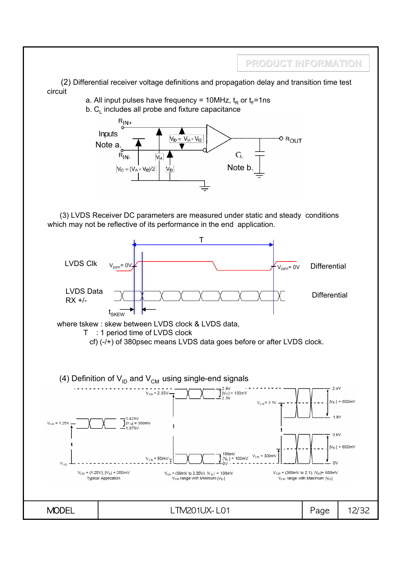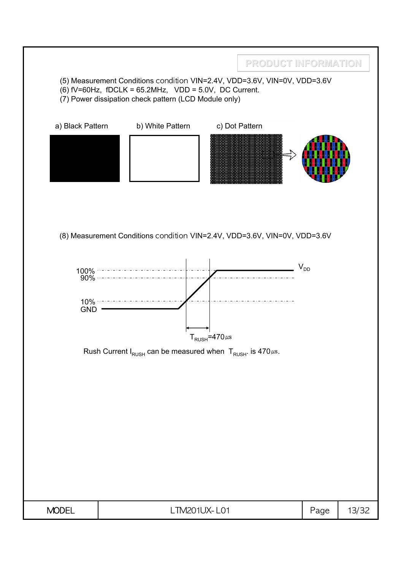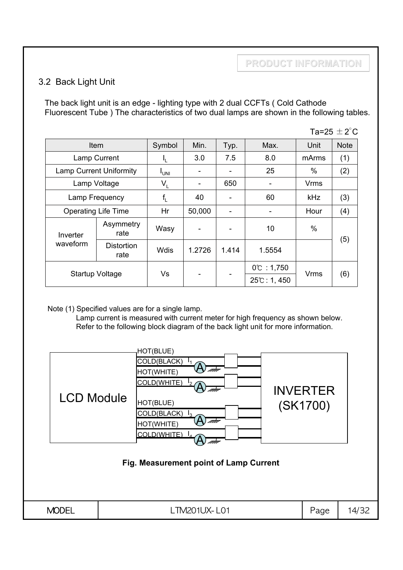#### 3.2 Back Light Unit

The back light unit is an edge - lighting type with 2 dual CCFTs ( Cold Cathode Fluorescent Tube ) The characteristics of two dual lamps are shown in the following tables.

| Ta=25 $\pm$ 2 $^{\circ}$ C |                                |                           |        |       |                                    |             |             |  |
|----------------------------|--------------------------------|---------------------------|--------|-------|------------------------------------|-------------|-------------|--|
|                            | Item                           | Symbol                    | Min.   | Typ.  | Max.                               | Unit        | <b>Note</b> |  |
|                            | Lamp Current                   | ı'                        | 3.0    | 7.5   | 8.0                                | mArms       | (1)         |  |
|                            | <b>Lamp Current Uniformity</b> | <sup>I</sup> UNI          |        |       | 25                                 | $\%$        | (2)         |  |
|                            | Lamp Voltage                   | $\mathsf{V}_{\mathsf{L}}$ |        | 650   |                                    | Vrms        |             |  |
| Lamp Frequency             |                                | $f_{\lfloor}$             | 40     |       | 60                                 | <b>kHz</b>  | (3)         |  |
|                            | <b>Operating Life Time</b>     |                           | 50,000 |       |                                    | Hour        | (4)         |  |
| Inverter                   | Asymmetry<br>rate              | Wasy                      |        |       | 10                                 | %           |             |  |
| waveform                   | <b>Distortion</b><br>rate      | Wdis                      | 1.2726 | 1.414 | 1.5554                             |             | (5)         |  |
| <b>Startup Voltage</b>     |                                | Vs                        |        |       | $0^{\circ}$ : 1,750<br>25℃: 1, 450 | <b>Vrms</b> | (6)         |  |

Note (1) Specified values are for a single lamp.

Lamp current is measured with current meter for high frequency as shown below. Refer to the following block diagram of the back light unit for more information.

| <b>LCD Module</b> | HOT(BLUE)<br>COLD(BLACK)<br>ata<br>HOT(WHITE)<br>COLD(WHITE)<br>mm<br>HOT(BLUE)<br>COLD(BLACK) $I_3$<br>nm<br>HOT(WHITE)<br>COLD(WHITE)<br>Fig. Measurement point of Lamp Current | <b>INVERTER</b><br>(SK1700) |       |
|-------------------|-----------------------------------------------------------------------------------------------------------------------------------------------------------------------------------|-----------------------------|-------|
| <b>MODEL</b>      | LTM201UX-L01                                                                                                                                                                      | Page                        | 14/32 |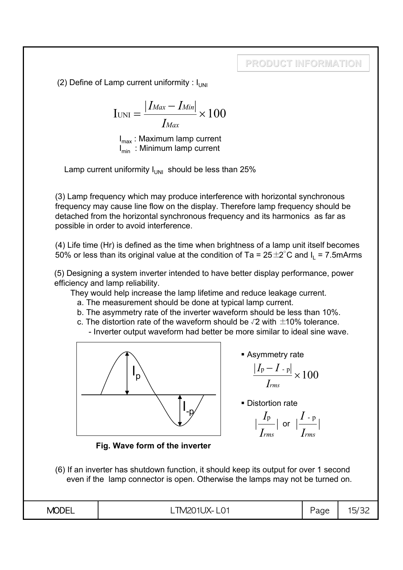(2) Define of Lamp current uniformity :  $I_{UMI}$ 

$$
I_{\text{UNI}} = \frac{|I_{\text{Max}} - I_{\text{Min}}|}{I_{\text{Max}}} \times 100
$$

 $I_{\text{max}}$ : Maximum lamp current  $I_{min}$  : Minimum lamp current

Lamp current uniformity  $I_{UNI}$  should be less than 25%

(3) Lamp frequency which may produce interference with horizontal synchronous frequency may cause line flow on the display. Therefore lamp frequency should be detached from the horizontal synchronous frequency and its harmonics as far as possible in order to avoid interference.

(4) Life time (Hr) is defined as the time when brightness of a lamp unit itself becomes 50% or less than its original value at the condition of Ta =  $25 \pm 2^{\circ}$ C and I<sub>1</sub> = 7.5mArms

(5) Designing a system inverter intended to have better display performance, power efficiency and lamp reliability.

They would help increase the lamp lifetime and reduce leakage current.

- a. The measurement should be done at typical lamp current.
- b. The asymmetry rate of the inverter waveform should be less than 10%.
- c. The distortion rate of the waveform should be  $\sqrt{2}$  with  $\pm$ 10% tolerance. - Inverter output waveform had better be more similar to ideal sine wave.



**Asymmetry rate** 

$$
\frac{|I_p - I_{-p}|}{I_{rms}} \times 100
$$

**Distortion rate** 

$$
\left|\frac{I_{\rm p}}{I_{rms}}\right| \text{ or } \left|\frac{I_{\rm -p}}{I_{rms}}\right|
$$

**Fig. Wave form of the inverter**

(6) If an inverter has shutdown function, it should keep its output for over 1 second even if the lamp connector is open. Otherwise the lamps may not be turned on.

|--|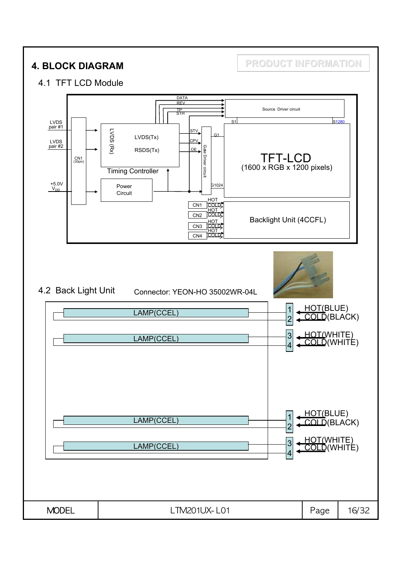**4. BLOCK DIAGRAM PRODUCT INFORMATION**

#### 4.1 TFT LCD Module

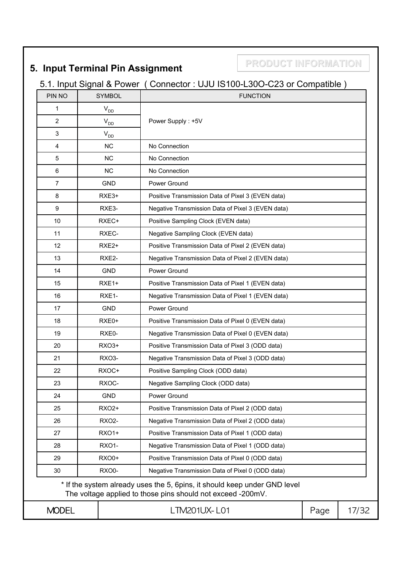# **5. Input Terminal Pin Assignment**

**PRODUCT INFORMATION**

# 5.1. Input Signal & Power ( Connector : UJU IS100-L30O-C23 or Compatible )

| PIN NO                                                          |  | <b>SYMBOL</b>              | <b>FUNCTION</b>                                                                                                                          |      |       |  |  |  |
|-----------------------------------------------------------------|--|----------------------------|------------------------------------------------------------------------------------------------------------------------------------------|------|-------|--|--|--|
| 1                                                               |  | $V_{DD}$                   |                                                                                                                                          |      |       |  |  |  |
| $\overline{2}$                                                  |  | $\mathsf{V}_{\mathsf{DD}}$ | Power Supply: +5V                                                                                                                        |      |       |  |  |  |
| 3                                                               |  | $V_{DD}$                   |                                                                                                                                          |      |       |  |  |  |
| 4                                                               |  | <b>NC</b>                  | No Connection                                                                                                                            |      |       |  |  |  |
| 5                                                               |  | <b>NC</b>                  | No Connection                                                                                                                            |      |       |  |  |  |
| 6                                                               |  | <b>NC</b>                  | No Connection                                                                                                                            |      |       |  |  |  |
| $\overline{7}$                                                  |  | <b>GND</b>                 | Power Ground                                                                                                                             |      |       |  |  |  |
| 8                                                               |  | RXE3+                      | Positive Transmission Data of Pixel 3 (EVEN data)                                                                                        |      |       |  |  |  |
| 9                                                               |  | RXE3-                      | Negative Transmission Data of Pixel 3 (EVEN data)                                                                                        |      |       |  |  |  |
| 10                                                              |  | RXEC+                      | Positive Sampling Clock (EVEN data)                                                                                                      |      |       |  |  |  |
| 11                                                              |  | RXEC-                      | Negative Sampling Clock (EVEN data)                                                                                                      |      |       |  |  |  |
| 12                                                              |  | RXE <sub>2+</sub>          | Positive Transmission Data of Pixel 2 (EVEN data)                                                                                        |      |       |  |  |  |
| 13                                                              |  | RXE2-                      | Negative Transmission Data of Pixel 2 (EVEN data)                                                                                        |      |       |  |  |  |
| 14                                                              |  | <b>GND</b>                 | Power Ground                                                                                                                             |      |       |  |  |  |
| 15                                                              |  | $RXE1+$                    | Positive Transmission Data of Pixel 1 (EVEN data)                                                                                        |      |       |  |  |  |
| 16                                                              |  | RXE1-                      | Negative Transmission Data of Pixel 1 (EVEN data)                                                                                        |      |       |  |  |  |
| 17                                                              |  | <b>GND</b>                 | Power Ground                                                                                                                             |      |       |  |  |  |
| 18                                                              |  | RXE0+                      | Positive Transmission Data of Pixel 0 (EVEN data)                                                                                        |      |       |  |  |  |
| 19                                                              |  | RXE0-                      | Negative Transmission Data of Pixel 0 (EVEN data)                                                                                        |      |       |  |  |  |
| 20                                                              |  | RXO3+                      | Positive Transmission Data of Pixel 3 (ODD data)                                                                                         |      |       |  |  |  |
| 21                                                              |  | RXO <sub>3</sub> -         | Negative Transmission Data of Pixel 3 (ODD data)                                                                                         |      |       |  |  |  |
| 22                                                              |  | RXOC+                      | Positive Sampling Clock (ODD data)                                                                                                       |      |       |  |  |  |
| 23                                                              |  | RXOC-                      | Negative Sampling Clock (ODD data)                                                                                                       |      |       |  |  |  |
| 24                                                              |  | <b>GND</b>                 | Power Ground                                                                                                                             |      |       |  |  |  |
| 25                                                              |  | <b>RXO2+</b>               | Positive Transmission Data of Pixel 2 (ODD data)                                                                                         |      |       |  |  |  |
| 26                                                              |  | <b>RXO2-</b>               | Negative Transmission Data of Pixel 2 (ODD data)                                                                                         |      |       |  |  |  |
| 27                                                              |  | <b>RXO1+</b>               | Positive Transmission Data of Pixel 1 (ODD data)                                                                                         |      |       |  |  |  |
| 28                                                              |  | <b>RXO1-</b>               | Negative Transmission Data of Pixel 1 (ODD data)                                                                                         |      |       |  |  |  |
| 29                                                              |  | <b>RXO0+</b>               | Positive Transmission Data of Pixel 0 (ODD data)                                                                                         |      |       |  |  |  |
| 30<br>RXO0-<br>Negative Transmission Data of Pixel 0 (ODD data) |  |                            |                                                                                                                                          |      |       |  |  |  |
|                                                                 |  |                            | * If the system already uses the 5, 6pins, it should keep under GND level<br>The voltage applied to those pins should not exceed -200mV. |      |       |  |  |  |
| <b>MODEL</b>                                                    |  |                            | LTM201UX-L01                                                                                                                             | Page | 17/32 |  |  |  |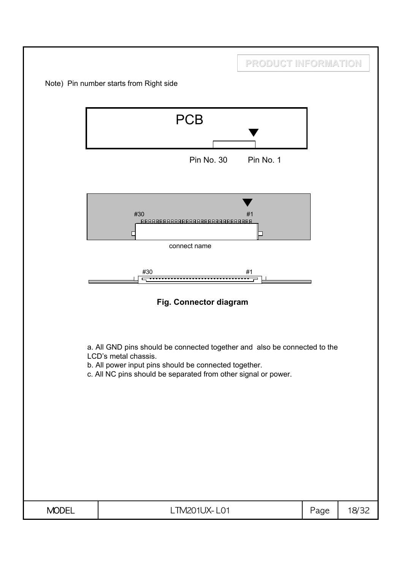|              |                                                                                                                                                                                                                              | PRODUCT INFORMATION |      |       |
|--------------|------------------------------------------------------------------------------------------------------------------------------------------------------------------------------------------------------------------------------|---------------------|------|-------|
|              | Note) Pin number starts from Right side                                                                                                                                                                                      |                     |      |       |
|              | <b>PCB</b><br>Pin No. 30                                                                                                                                                                                                     | Pin No. 1           |      |       |
|              | #30<br><u> 888888888888888888888888888888</u><br>□<br>connect name<br>#30                                                                                                                                                    | #1<br>#1            |      |       |
|              | Fig. Connector diagram                                                                                                                                                                                                       |                     |      |       |
|              | a. All GND pins should be connected together and also be connected to the<br>LCD's metal chassis.<br>b. All power input pins should be connected together.<br>c. All NC pins should be separated from other signal or power. |                     |      |       |
| <b>MODEL</b> | LTM201UX-L01                                                                                                                                                                                                                 |                     | Page | 18/32 |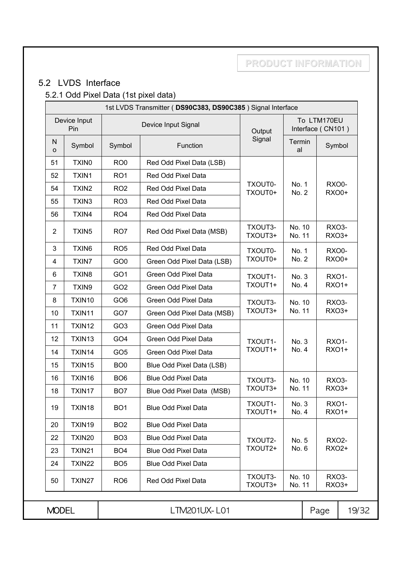# 5.2 LVDS Interface

# 5.2.1 Odd Pixel Data (1st pixel data)

| 1st LVDS Transmitter (DS90C383, DS90C385) Signal Interface |                     |                 |                            |                    |                  |                                                |                              |              |
|------------------------------------------------------------|---------------------|-----------------|----------------------------|--------------------|------------------|------------------------------------------------|------------------------------|--------------|
|                                                            | Device Input<br>Pin |                 | Device Input Signal        | Output             |                  | To LTM170EU<br>Interface (CN101)               |                              |              |
| N<br>$\circ$                                               | Symbol              | Symbol          | Function                   | Signal             | Termin<br>al     |                                                | Symbol                       |              |
| 51                                                         | TXIN <sub>0</sub>   | RO <sub>0</sub> | Red Odd Pixel Data (LSB)   |                    |                  |                                                |                              |              |
| 52                                                         | TXIN1               | RO <sub>1</sub> | Red Odd Pixel Data         |                    |                  |                                                |                              |              |
| 54                                                         | TXIN <sub>2</sub>   | RO <sub>2</sub> | Red Odd Pixel Data         | TXOUT0-<br>TXOUT0+ | No. 1<br>No. 2   |                                                | <b>RXO0-</b><br><b>RXO0+</b> |              |
| 55                                                         | TXIN3               | RO <sub>3</sub> | Red Odd Pixel Data         |                    |                  |                                                |                              |              |
| 56                                                         | TXIN4               | RO <sub>4</sub> | Red Odd Pixel Data         |                    |                  |                                                |                              |              |
| $\overline{2}$                                             | TXIN <sub>5</sub>   | RO <sub>7</sub> | Red Odd Pixel Data (MSB)   | TXOUT3-<br>TXOUT3+ | No. 10<br>No. 11 |                                                | RXO3-<br>RXO3+               |              |
| 3                                                          | TXIN6               | RO <sub>5</sub> | Red Odd Pixel Data         | TXOUT0-            | No. 1            |                                                | <b>RXO0-</b>                 |              |
| 4                                                          | TXIN7               | GO <sub>0</sub> | Green Odd Pixel Data (LSB) | TXOUT0+<br>No. 2   |                  |                                                | <b>RXO0+</b>                 |              |
| 6                                                          | TXIN8               | GO <sub>1</sub> | Green Odd Pixel Data       | TXOUT1-<br>No. 3   |                  |                                                | <b>RXO1-</b>                 |              |
| $\overline{7}$                                             | TXIN9               | GO <sub>2</sub> | Green Odd Pixel Data       | TXOUT1+            | No. 4            |                                                | <b>RXO1+</b>                 |              |
| 8                                                          | TXIN10              | GO <sub>6</sub> | Green Odd Pixel Data       | TXOUT3-            | No. 10           |                                                | RXO3-                        |              |
| 10                                                         | TXIN11              | GO7             | Green Odd Pixel Data (MSB) | TXOUT3+            | No. 11           |                                                | RXO3+                        |              |
| 11                                                         | TXIN12              | GO <sub>3</sub> | Green Odd Pixel Data       |                    |                  |                                                |                              |              |
| 12                                                         | TXIN13              | GO <sub>4</sub> | Green Odd Pixel Data       | TXOUT1-            | No. 3            |                                                | <b>RXO1-</b>                 |              |
| 14                                                         | TXIN14              | GO <sub>5</sub> | Green Odd Pixel Data       | TXOUT1+            |                  | No. 4                                          |                              | <b>RXO1+</b> |
| 15                                                         | TXIN15              | BO <sub>0</sub> | Blue Odd Pixel Data (LSB)  |                    |                  |                                                |                              |              |
| 16                                                         | TXIN16              | BO <sub>6</sub> | <b>Blue Odd Pixel Data</b> | TXOUT3-            | No. 10           |                                                | RXO <sub>3</sub> -           |              |
| 18                                                         | TXIN17              | BO <sub>7</sub> | Blue Odd Pixel Data (MSB)  | TXOUT3+            | No. 11           |                                                | RXO3+                        |              |
| 19                                                         | TXIN18              | BO <sub>1</sub> | <b>Blue Odd Pixel Data</b> | TXOUT1-<br>TXOUT1+ |                  | <b>RXO1-</b><br>No. 3<br><b>RXO1+</b><br>No. 4 |                              |              |
| 20                                                         | TXIN19              | BO <sub>2</sub> | <b>Blue Odd Pixel Data</b> |                    |                  |                                                |                              |              |
| 22                                                         | TXIN20              | BO <sub>3</sub> | <b>Blue Odd Pixel Data</b> | TXOUT2-            | No. 5            |                                                | <b>RXO2-</b>                 |              |
| 23                                                         | TXIN21              | BO <sub>4</sub> | <b>Blue Odd Pixel Data</b> | TXOUT2+            | No. 6            |                                                | <b>RXO2+</b>                 |              |
| 24                                                         | TXIN22              | BO <sub>5</sub> | <b>Blue Odd Pixel Data</b> |                    |                  |                                                |                              |              |
| 50                                                         | TXIN27              | RO <sub>6</sub> | Red Odd Pixel Data         | TXOUT3-<br>TXOUT3+ | No. 10<br>No. 11 |                                                | <b>RXO3-</b><br>RXO3+        |              |
| <b>MODEL</b>                                               |                     |                 | LTM201UX-L01               |                    |                  | Page                                           | 19/32                        |              |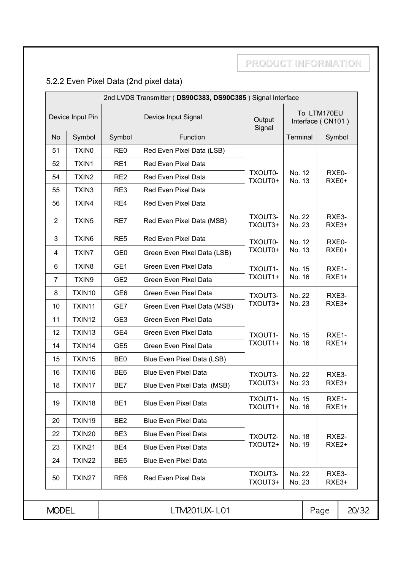# 5.2.2 Even Pixel Data (2nd pixel data)

| 2nd LVDS Transmitter (DS90C383, DS90C385) Signal Interface |                       |                 |                              |                                                      |                  |                            |                   |
|------------------------------------------------------------|-----------------------|-----------------|------------------------------|------------------------------------------------------|------------------|----------------------------|-------------------|
| Device Input Pin                                           |                       |                 | Device Input Signal          | To LTM170EU<br>Output<br>Interface (CN101)<br>Signal |                  |                            |                   |
| <b>No</b>                                                  | Symbol                | Symbol          | Function                     |                                                      | Terminal         |                            | Symbol            |
| 51                                                         | <b>TXINO</b>          | RE <sub>0</sub> | Red Even Pixel Data (LSB)    |                                                      |                  |                            |                   |
| 52                                                         | TXIN1                 | RE1             | Red Even Pixel Data          |                                                      |                  |                            |                   |
| 54                                                         | TXIN <sub>2</sub>     | RE <sub>2</sub> | Red Even Pixel Data          | TXOUT0-<br>TXOUT0+                                   | No. 12<br>No. 13 |                            | RXE0-<br>RXE0+    |
| 55                                                         | TXIN3                 | RE3             | Red Even Pixel Data          |                                                      |                  |                            |                   |
| 56                                                         | TXIN4                 | RE4             | Red Even Pixel Data          |                                                      |                  |                            |                   |
| $\overline{2}$                                             | TXIN <sub>5</sub>     | RE7             | Red Even Pixel Data (MSB)    | TXOUT3-<br>TXOUT3+                                   | No. 22<br>No. 23 |                            | RXE3-<br>RXE3+    |
| 3                                                          | TXIN6                 | RE <sub>5</sub> | Red Even Pixel Data          | TXOUT0-<br>No. 12<br>TXOUT0+<br>No. 13               |                  |                            | RXE0-             |
| 4                                                          | <b>TXIN7</b>          | GE <sub>0</sub> | Green Even Pixel Data (LSB)  |                                                      |                  |                            | RXE0+             |
| 6                                                          | TXIN8                 | GE1             | Green Even Pixel Data        | TXOUT1-                                              | No. 15           |                            | RXE1-             |
| 7                                                          | TXIN9                 | GE <sub>2</sub> | Green Even Pixel Data        | TXOUT1+                                              | No. 16           |                            | RXE1+             |
| 8                                                          | TXIN10                | GE <sub>6</sub> | <b>Green Even Pixel Data</b> | TXOUT3-                                              | No. 22           |                            | RXE3-             |
| 10                                                         | TXIN11                | GE7             | Green Even Pixel Data (MSB)  | TXOUT3+                                              | No. 23           |                            | RXE3+             |
| 11                                                         | TXIN12                | GE <sub>3</sub> | Green Even Pixel Data        |                                                      |                  |                            |                   |
| 12                                                         | TXIN13                | GE4             | Green Even Pixel Data        | TXOUT1-                                              | No. 15           |                            | RXE1-             |
| 14                                                         | TXIN14                | GE <sub>5</sub> | Green Even Pixel Data        | TXOUT1+                                              | No. 16           |                            | RXE1+             |
| 15                                                         | TXIN15                | BE <sub>0</sub> | Blue Even Pixel Data (LSB)   |                                                      |                  |                            |                   |
| 16                                                         | TXIN16                | BE <sub>6</sub> | <b>Blue Even Pixel Data</b>  | TXOUT3-                                              | No. 22           |                            | RXE3-             |
| 18                                                         | TXIN17                | BE7             | Blue Even Pixel Data (MSB)   | TXOUT3+                                              | No. 23           |                            | RXE3+             |
| 19                                                         | TXIN18                | BE <sub>1</sub> | <b>Blue Even Pixel Data</b>  | TXOUT1-<br>TXOUT1+                                   | No. 15<br>No. 16 | RXE1-<br>RXE <sub>1+</sub> |                   |
| 20                                                         | TXIN19                | BE <sub>2</sub> | <b>Blue Even Pixel Data</b>  |                                                      |                  |                            |                   |
| 22                                                         | TXIN20                | BE3             | <b>Blue Even Pixel Data</b>  | TXOUT2-                                              | No. 18           |                            | RXE2-             |
| 23                                                         | TXIN21                | BE4             | <b>Blue Even Pixel Data</b>  | TXOUT2+                                              | No. 19           |                            | RXE <sub>2+</sub> |
| 24                                                         | TXIN22                | BE <sub>5</sub> | <b>Blue Even Pixel Data</b>  |                                                      |                  |                            |                   |
| 50                                                         | TXIN27                | RE <sub>6</sub> | Red Even Pixel Data          | TXOUT3-<br>TXOUT3+                                   | No. 22<br>No. 23 |                            | RXE3-<br>RXE3+    |
| <b>MODEL</b>                                               | LTM201UX-L01<br>20/32 |                 |                              |                                                      |                  |                            |                   |
|                                                            |                       |                 |                              |                                                      |                  | Page                       |                   |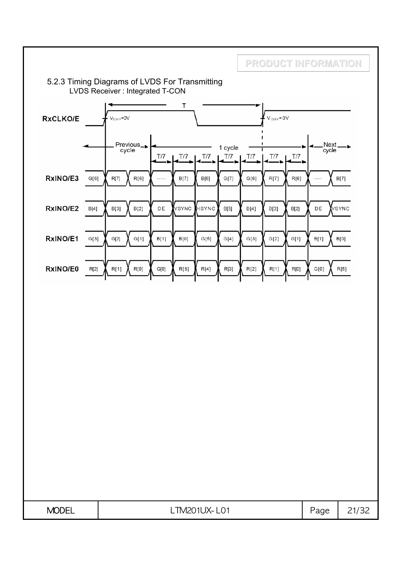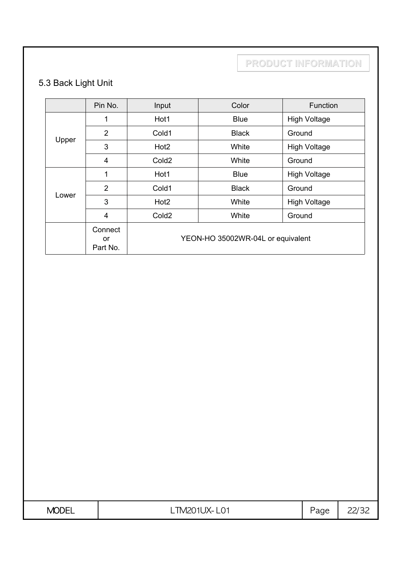# 5.3 Back Light Unit

|       | Pin No.                   | Input             | Color                             | Function            |  |  |
|-------|---------------------------|-------------------|-----------------------------------|---------------------|--|--|
|       | 1                         | Hot1              | <b>Blue</b>                       | <b>High Voltage</b> |  |  |
|       | $\overline{2}$            | Cold1             | <b>Black</b>                      | Ground              |  |  |
| Upper | 3                         | Hot <sub>2</sub>  | White                             | <b>High Voltage</b> |  |  |
|       | 4                         | Cold <sub>2</sub> | White                             | Ground              |  |  |
|       | 1                         | Hot1              | <b>Blue</b>                       | <b>High Voltage</b> |  |  |
|       | 2                         | Cold1             | <b>Black</b>                      | Ground              |  |  |
| Lower | 3                         | Hot <sub>2</sub>  | White                             | <b>High Voltage</b> |  |  |
|       | 4                         | Cold <sub>2</sub> | White                             | Ground              |  |  |
|       | Connect<br>or<br>Part No. |                   | YEON-HO 35002WR-04L or equivalent |                     |  |  |

| <b>MODEL</b> | TM20 L<br>ົ <sup>\</sup> 1LJX= ເ<br>$-LU$<br>∟……∟∪ | -<br>age | ᅩ<br>__ |
|--------------|----------------------------------------------------|----------|---------|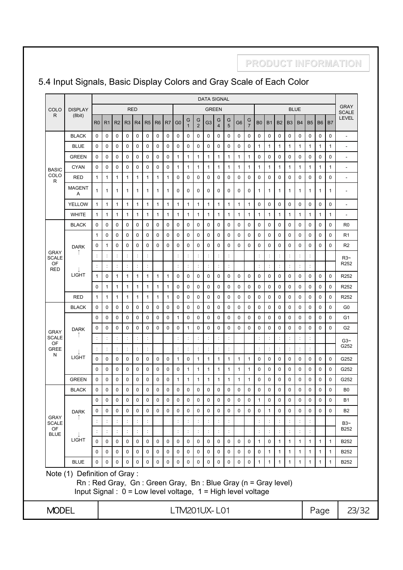#### 5.4 Input Signals, Basic Display Colors and Gray Scale of Each Color

**PRODUCT INFORMATION**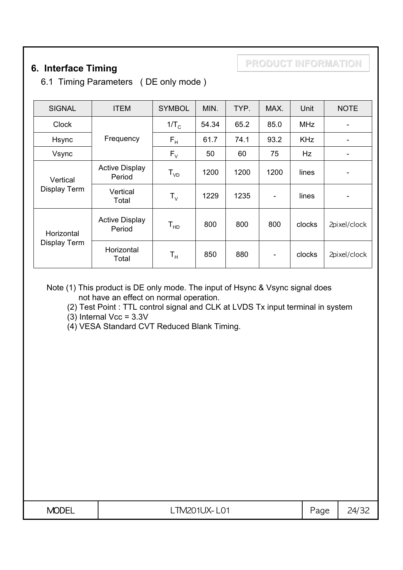# **6. Interface Timing**

6.1 Timing Parameters ( DE only mode )

| <b>SIGNAL</b>            | <b>ITEM</b>                     | <b>SYMBOL</b>             | MIN.  | TYP. | MAX.                     | Unit       | <b>NOTE</b>  |
|--------------------------|---------------------------------|---------------------------|-------|------|--------------------------|------------|--------------|
| <b>Clock</b>             |                                 | $1/T_c$                   | 54.34 | 65.2 | 85.0                     | <b>MHz</b> |              |
| <b>Hsync</b>             | Frequency                       | $F_H$                     | 61.7  | 74.1 | 93.2                     | <b>KHz</b> | ۰            |
| Vsync                    |                                 | $F_{V}$                   | 50    | 60   | 75                       | Hz         |              |
| Vertical<br>Display Term | <b>Active Display</b><br>Period | $T_{VD}$                  | 1200  | 1200 | 1200                     | lines      |              |
|                          | Vertical<br>Total               | $\mathsf{T}_{\mathsf{v}}$ | 1229  | 1235 | $\overline{a}$           | lines      |              |
| Horizontal               | <b>Active Display</b><br>Period | $T_{HD}$                  | 800   | 800  | 800                      | clocks     | 2pixel/clock |
| Display Term             | Horizontal<br>Total             | $T_{\rm H}$               | 850   | 880  | $\overline{\phantom{a}}$ | clocks     | 2pixel/clock |

Note (1) This product is DE only mode. The input of Hsync & Vsync signal does not have an effect on normal operation.

(2) Test Point : TTL control signal and CLK at LVDS Tx input terminal in system

 $(3)$  Internal Vcc =  $3.3V$ 

(4) VESA Standard CVT Reduced Blank Timing.

| <b>MODE</b> | <b>IV</b><br>TN 120<br>ו דו<br>$1\lambda - 1$<br>-- | $\sim$<br>uy | $\sim$<br>ว⊿,<br>— |
|-------------|-----------------------------------------------------|--------------|--------------------|
|             |                                                     |              |                    |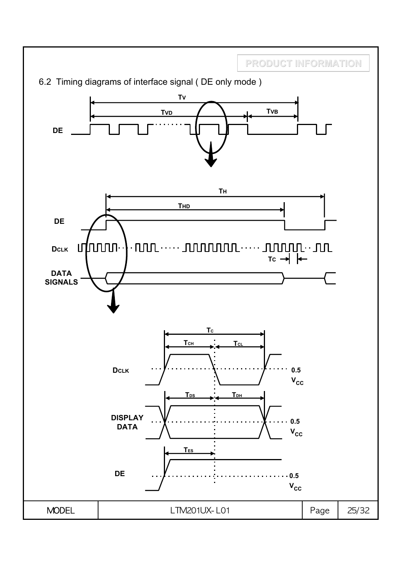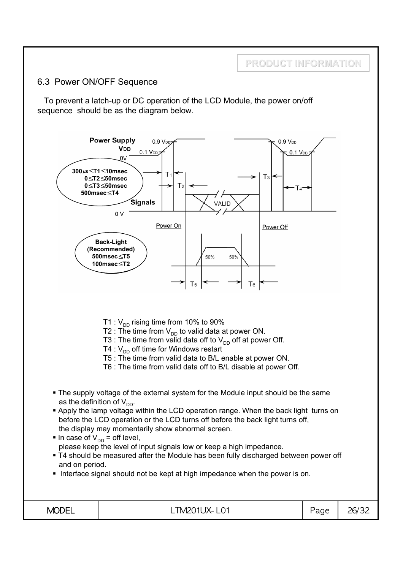#### 6.3 Power ON/OFF Sequence

To prevent a latch-up or DC operation of the LCD Module, the power on/off sequence should be as the diagram below.

**PRODUCT INFORMATION**

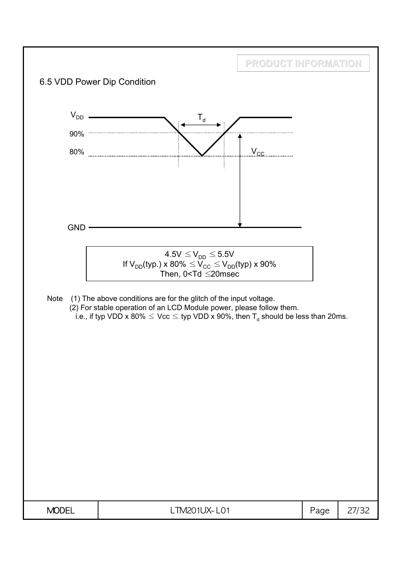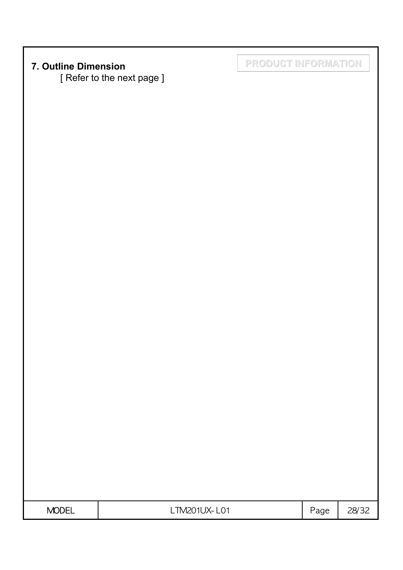[ Refer to the next page ]

**7. Outline Dimension PRODUCT INFORMATION**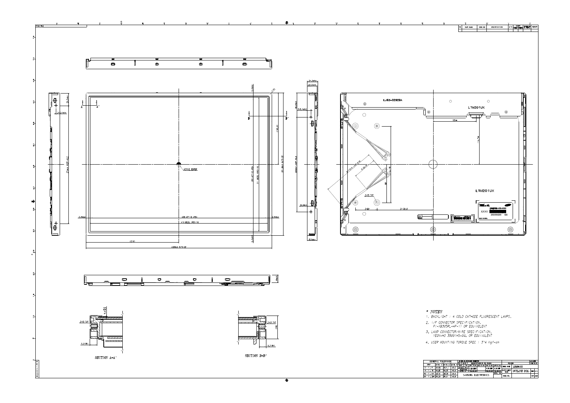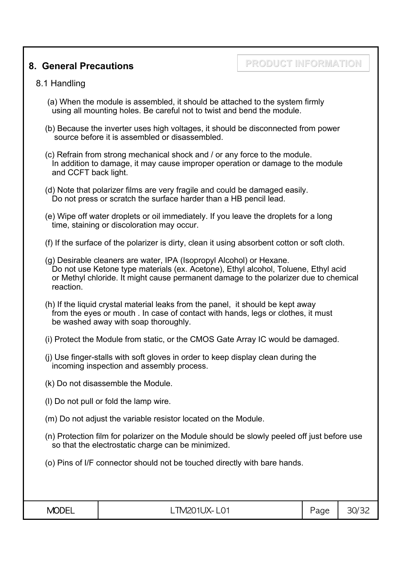#### **8. General Precautions**

# **PRODUCT INFORMATION**

#### 8.1 Handling

- (a) When the module is assembled, it should be attached to the system firmly using all mounting holes. Be careful not to twist and bend the module.
- (b) Because the inverter uses high voltages, it should be disconnected from power source before it is assembled or disassembled.
- (c) Refrain from strong mechanical shock and / or any force to the module. In addition to damage, it may cause improper operation or damage to the module and CCFT back light.
- (d) Note that polarizer films are very fragile and could be damaged easily. Do not press or scratch the surface harder than a HB pencil lead.
- (e) Wipe off water droplets or oil immediately. If you leave the droplets for a long time, staining or discoloration may occur.
- (f) If the surface of the polarizer is dirty, clean it using absorbent cotton or soft cloth.
- (g) Desirable cleaners are water, IPA (Isopropyl Alcohol) or Hexane. Do not use Ketone type materials (ex. Acetone), Ethyl alcohol, Toluene, Ethyl acid or Methyl chloride. It might cause permanent damage to the polarizer due to chemical reaction.
- (h) If the liquid crystal material leaks from the panel, it should be kept away from the eyes or mouth . In case of contact with hands, legs or clothes, it must be washed away with soap thoroughly.
- (i) Protect the Module from static, or the CMOS Gate Array IC would be damaged.
- (j) Use finger-stalls with soft gloves in order to keep display clean during the incoming inspection and assembly process.
- (k) Do not disassemble the Module.
- (l) Do not pull or fold the lamp wire.
- (m) Do not adjust the variable resistor located on the Module.
- (n) Protection film for polarizer on the Module should be slowly peeled off just before use so that the electrostatic charge can be minimized.
- (o) Pins of I/F connector should not be touched directly with bare hands.

| <b>MODEL</b> | L M201UX-1<br>- LU . | -<br>Page | ำ∩<br>3U/<br>″ J∟ |
|--------------|----------------------|-----------|-------------------|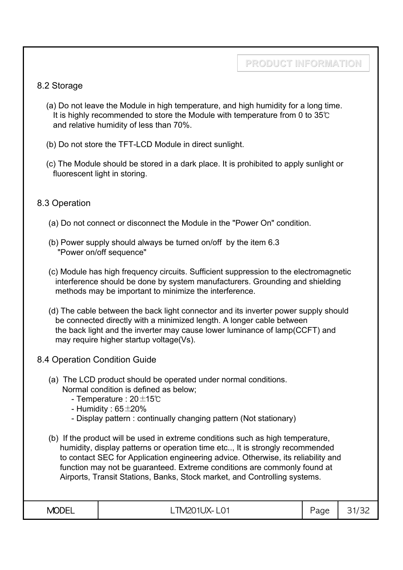#### 8.2 Storage

- (a) Do not leave the Module in high temperature, and high humidity for a long time. It is highly recommended to store the Module with temperature from 0 to 35℃ and relative humidity of less than 70%.
- (b) Do not store the TFT-LCD Module in direct sunlight.
- (c) The Module should be stored in a dark place. It is prohibited to apply sunlight or fluorescent light in storing.

#### 8.3 Operation

- (a) Do not connect or disconnect the Module in the "Power On" condition.
- (b) Power supply should always be turned on/off by the item 6.3 "Power on/off sequence"
- (c) Module has high frequency circuits. Sufficient suppression to the electromagnetic interference should be done by system manufacturers. Grounding and shielding methods may be important to minimize the interference.
- (d) The cable between the back light connector and its inverter power supply should be connected directly with a minimized length. A longer cable between the back light and the inverter may cause lower luminance of lamp(CCFT) and may require higher startup voltage(Vs).
- 8.4 Operation Condition Guide
	- (a) The LCD product should be operated under normal conditions. Normal condition is defined as below;
		- Temperature : 20±15℃
		- Humidity :  $65\pm20\%$
		- Display pattern : continually changing pattern (Not stationary)
	- (b) If the product will be used in extreme conditions such as high temperature, humidity, display patterns or operation time etc.., It is strongly recommended to contact SEC for Application engineering advice. Otherwise, its reliability and function may not be guaranteed. Extreme conditions are commonly found at Airports, Transit Stations, Banks, Stock market, and Controlling systems.

| $200 - 1$<br>ו⊣נונ<br>VL.<br>. | -<br>◡<br>1 A –<br>ᄔᄓ<br>∟……<br>$\sim$ | $\overline{\phantom{a}}$<br>്ദവല<br>uu<br>پ | ∽<br>-<br>ے ب<br>یست |
|--------------------------------|----------------------------------------|---------------------------------------------|----------------------|
|--------------------------------|----------------------------------------|---------------------------------------------|----------------------|